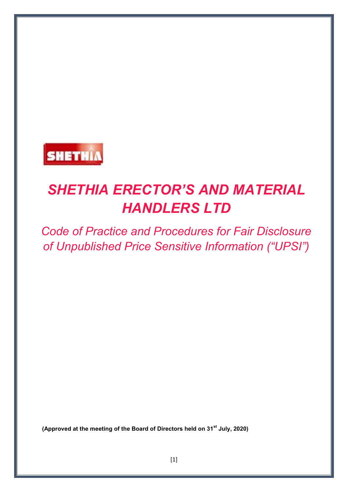

# *SHETHIA ERECTOR'S AND MATERIAL HANDLERS LTD*

*Code of Practice and Procedures for Fair Disclosure of Unpublished Price Sensitive Information ("UPSI")*

**(Approved at the meeting of the Board of Directors held on 31st July, 2020)**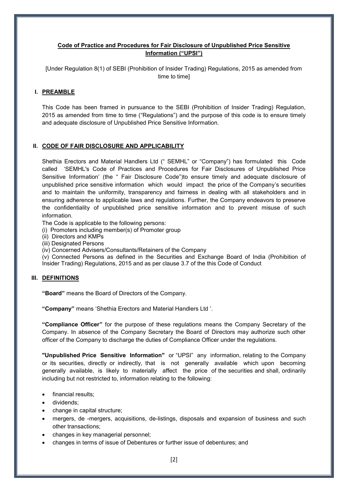# **Code of Practice and Procedures for Fair Disclosure of Unpublished Price Sensitive Information ("UPSI")**

[Under Regulation 8(1) of SEBI (Prohibition of Insider Trading) Regulations, 2015 as amended from time to time]

# **I. PREAMBLE**

This Code has been framed in pursuance to the SEBI (Prohibition of Insider Trading) Regulation, 2015 as amended from time to time ("Regulations") and the purpose of this code is to ensure timely and adequate disclosure of Unpublished Price Sensitive Information.

# **II. CODE OF FAIR DISCLOSURE AND APPLICABILITY**

Shethia Erectors and Material Handlers Ltd (" SEMHL" or "Company") has formulated this Code called 'SEMHL's Code of Practices and Procedures for Fair Disclosures of Unpublished Price Sensitive Information' (the " Fair Disclosure Code")to ensure timely and adequate disclosure of unpublished price sensitive information which would impact the price of the Company's securities and to maintain the uniformity, transparency and fairness in dealing with all stakeholders and in ensuring adherence to applicable laws and regulations. Further, the Company endeavors to preserve the confidentiality of unpublished price sensitive information and to prevent misuse of such information.

The Code is applicable to the following persons:

- (i) Promoters including member(s) of Promoter group
- (ii) Directors and KMPs
- (iii) Designated Persons
- (iv) Concerned Advisers/Consultants/Retainers of the Company

(v) Connected Persons as defined in the Securities and Exchange Board of India (Prohibition of Insider Trading) Regulations, 2015 and as per clause 3.7 of the this Code of Conduct

# **III. DEFINITIONS**

**"Board"** means the Board of Directors of the Company.

**"Company"** means 'Shethia Erectors and Material Handlers Ltd '.

**"Compliance Officer"** for the purpose of these regulations means the Company Secretary of the Company. In absence of the Company Secretary the Board of Directors may authorize such other officer of the Company to discharge the duties of Compliance Officer under the regulations.

**"Unpublished Price Sensitive Information"** or "UPSI" any information, relating to the Company or its securities, directly or indirectly, that is not generally available which upon becoming generally available, is likely to materially affect the price of the securities and shall, ordinarily including but not restricted to, information relating to the following:

- financial results;
- dividends;
- change in capital structure;
- mergers, de -mergers, acquisitions, de-listings, disposals and expansion of business and such other transactions;
- changes in key managerial personnel;
- changes in terms of issue of Debentures or further issue of debentures; and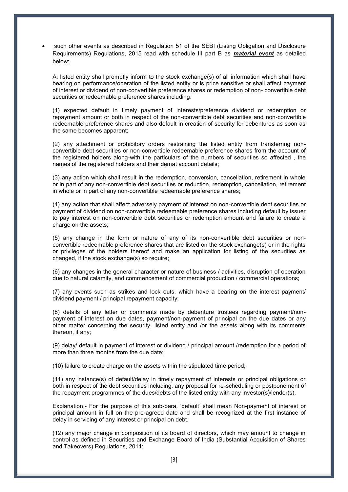such other events as described in Regulation 51 of the SEBI (Listing Obligation and Disclosure Requirements) Regulations, 2015 read with schedule III part B as *material event* as detailed below:

A. listed entity shall promptly inform to the stock exchange(s) of all information which shall have bearing on performance/operation of the listed entity or is price sensitive or shall affect payment of interest or dividend of non-convertible preference shares or redemption of non- convertible debt securities or redeemable preference shares including:

(1) expected default in timely payment of interests/preference dividend or redemption or repayment amount or both in respect of the non-convertible debt securities and non-convertible redeemable preference shares and also default in creation of security for debentures as soon as the same becomes apparent;

(2) any attachment or prohibitory orders restraining the listed entity from transferring nonconvertible debt securities or non-convertible redeemable preference shares from the account of the registered holders along-with the particulars of the numbers of securities so affected , the names of the registered holders and their demat account details;

(3) any action which shall result in the redemption, conversion, cancellation, retirement in whole or in part of any non-convertible debt securities or reduction, redemption, cancellation, retirement in whole or in part of any non-convertible redeemable preference shares;

(4) any action that shall affect adversely payment of interest on non-convertible debt securities or payment of dividend on non-convertible redeemable preference shares including default by issuer to pay interest on non-convertible debt securities or redemption amount and failure to create a charge on the assets;

(5) any change in the form or nature of any of its non-convertible debt securities or nonconvertible redeemable preference shares that are listed on the stock exchange(s) or in the rights or privileges of the holders thereof and make an application for listing of the securities as changed, if the stock exchange(s) so require;

(6) any changes in the general character or nature of business / activities, disruption of operation due to natural calamity, and commencement of commercial production / commercial operations;

(7) any events such as strikes and lock outs. which have a bearing on the interest payment/ dividend payment / principal repayment capacity;

(8) details of any letter or comments made by debenture trustees regarding payment/nonpayment of interest on due dates, payment/non-payment of principal on the due dates or any other matter concerning the security, listed entity and /or the assets along with its comments thereon, if any;

(9) delay/ default in payment of interest or dividend / principal amount /redemption for a period of more than three months from the due date;

(10) failure to create charge on the assets within the stipulated time period;

(11) any instance(s) of default/delay in timely repayment of interests or principal obligations or both in respect of the debt securities including, any proposal for re-scheduling or postponement of the repayment programmes of the dues/debts of the listed entity with any investor(s)/lender(s).

Explanation.- For the purpose of this sub-para, 'default' shall mean Non-payment of interest or principal amount in full on the pre-agreed date and shall be recognized at the first instance of delay in servicing of any interest or principal on debt.

(12) any major change in composition of its board of directors, which may amount to change in control as defined in Securities and Exchange Board of India (Substantial Acquisition of Shares and Takeovers) Regulations, 2011;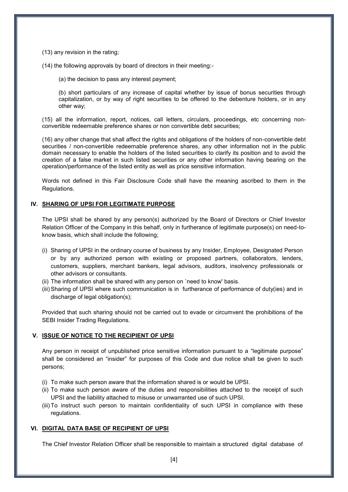(13) any revision in the rating;

(14) the following approvals by board of directors in their meeting:-

(a) the decision to pass any interest payment;

(b) short particulars of any increase of capital whether by issue of bonus securities through capitalization, or by way of right securities to be offered to the debenture holders, or in any other way;

(15) all the information, report, notices, call letters, circulars, proceedings, etc concerning nonconvertible redeemable preference shares or non convertible debt securities;

(16) any other change that shall affect the rights and obligations of the holders of non-convertible debt securities / non-convertible redeemable preference shares, any other information not in the public domain necessary to enable the holders of the listed securities to clarify its position and to avoid the creation of a false market in such listed securities or any other information having bearing on the operation/performance of the listed entity as well as price sensitive information.

Words not defined in this Fair Disclosure Code shall have the meaning ascribed to them in the Regulations.

#### **IV. SHARING OF UPSI FOR LEGITIMATE PURPOSE**

The UPSI shall be shared by any person(s) authorized by the Board of Directors or Chief Investor Relation Officer of the Company in this behalf, only in furtherance of legitimate purpose(s) on need-toknow basis, which shall include the following;

- (i) Sharing of UPSI in the ordinary course of business by any Insider, Employee, Designated Person or by any authorized person with existing or proposed partners, collaborators, lenders, customers, suppliers, merchant bankers, legal advisors, auditors, insolvency professionals or other advisors or consultants.
- (ii) The information shall be shared with any person on `need to know' basis.
- (iii) Sharing of UPSI where such communication is in furtherance of performance of duty(ies) and in discharge of legal obligation(s);

Provided that such sharing should not be carried out to evade or circumvent the prohibitions of the SEBI Insider Trading Regulations.

#### **V. ISSUE OF NOTICE TO THE RECIPIENT OF UPSI**

Any person in receipt of unpublished price sensitive information pursuant to a "legitimate purpose" shall be considered an "insider" for purposes of this Code and due notice shall be given to such persons;

- (i) To make such person aware that the information shared is or would be UPSI.
- (ii) To make such person aware of the duties and responsibilities attached to the receipt of such UPSI and the liability attached to misuse or unwarranted use of such UPSI.
- (iii) To instruct such person to maintain confidentiality of such UPSI in compliance with these regulations.

#### **VI. DIGITAL DATA BASE OF RECIPIENT OF UPSI**

The Chief Investor Relation Officer shall be responsible to maintain a structured digital database of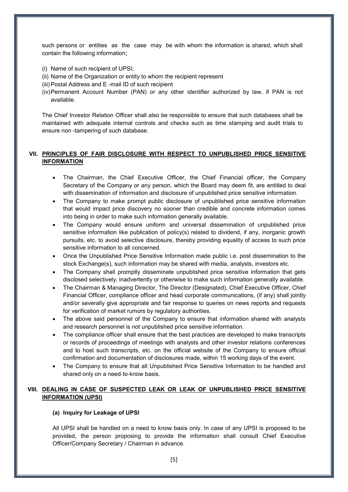such persons or entities as the case may be with whom the information is shared, which shall contain the following information;

- (i) Name of such recipient of UPSI;
- (ii) Name of the Organization or entity to whom the recipient represent
- (iii) Postal Address and E -mail ID of such recipient
- (iv) Permanent Account Number (PAN) or any other identifier authorized by law, if PAN is not available.

The Chief Investor Relation Officer shall also be responsible to ensure that such databases shall be maintained with adequate internal controls and checks such as time stamping and audit trials to ensure non -tampering of such database.

# **VII. PRINCIPLES OF FAIR DISCLOSURE WITH RESPECT TO UNPUBLISHED PRICE SENSITIVE INFORMATION**

- The Chairman, the Chief Executive Officer, the Chief Financial officer, the Company Secretary of the Company or any person, which the Board may deem fit, are entitled to deal with dissemination of information and disclosure of unpublished price sensitive information.
- The Company to make prompt public disclosure of unpublished price sensitive information that would impact price discovery no sooner than credible and concrete information comes into being in order to make such information generally available.
- The Company would ensure uniform and universal dissemination of unpublished price sensitive information like publication of policy(s) related to dividend, if any, inorganic growth pursuits, etc. to avoid selective disclosure, thereby providing equality of access to such price sensitive information to all concerned.
- Once the Unpublished Price Sensitive Information made public i.e. post dissemination to the stock Exchange(s), such information may be shared with media, analysts, investors etc.
- The Company shall promptly disseminate unpublished price sensitive information that gets disclosed selectively, inadvertently or otherwise to make such information generally available.
- The Chairman & Managing Director, The Director (Designated), Chief Executive Officer, Chief Financial Officer, compliance officer and head corporate communications, (if any) shall jointly and/or severally give appropriate and fair response to queries on news reports and requests for verification of market rumors by regulatory authorities.
- The above said personnel of the Company to ensure that information shared with analysts and research personnel is not unpublished price sensitive information.
- The compliance officer shall ensure that the best practices are developed to make transcripts or records of proceedings of meetings with analysts and other investor relations conferences and to host such transcripts, etc. on the official website of the Company to ensure official confirmation and documentation of disclosures made, within 15 working days of the event.
- The Company to ensure that all Unpublished Price Sensitive Information to be handled and shared only on a need-to-know basis.

# **VIII. DEALING IN CASE OF SUSPECTED LEAK OR LEAK OF UNPUBLISHED PRICE SENSITIVE INFORMATION (UPSI)**

#### **(a) Inquiry for Leakage of UPSI**

All UPSI shall be handled on a need to know basis only. In case of any UPSI is proposed to be provided, the person proposing to provide the information shall consult Chief Executive Officer/Company Secretary / Chairman in advance.